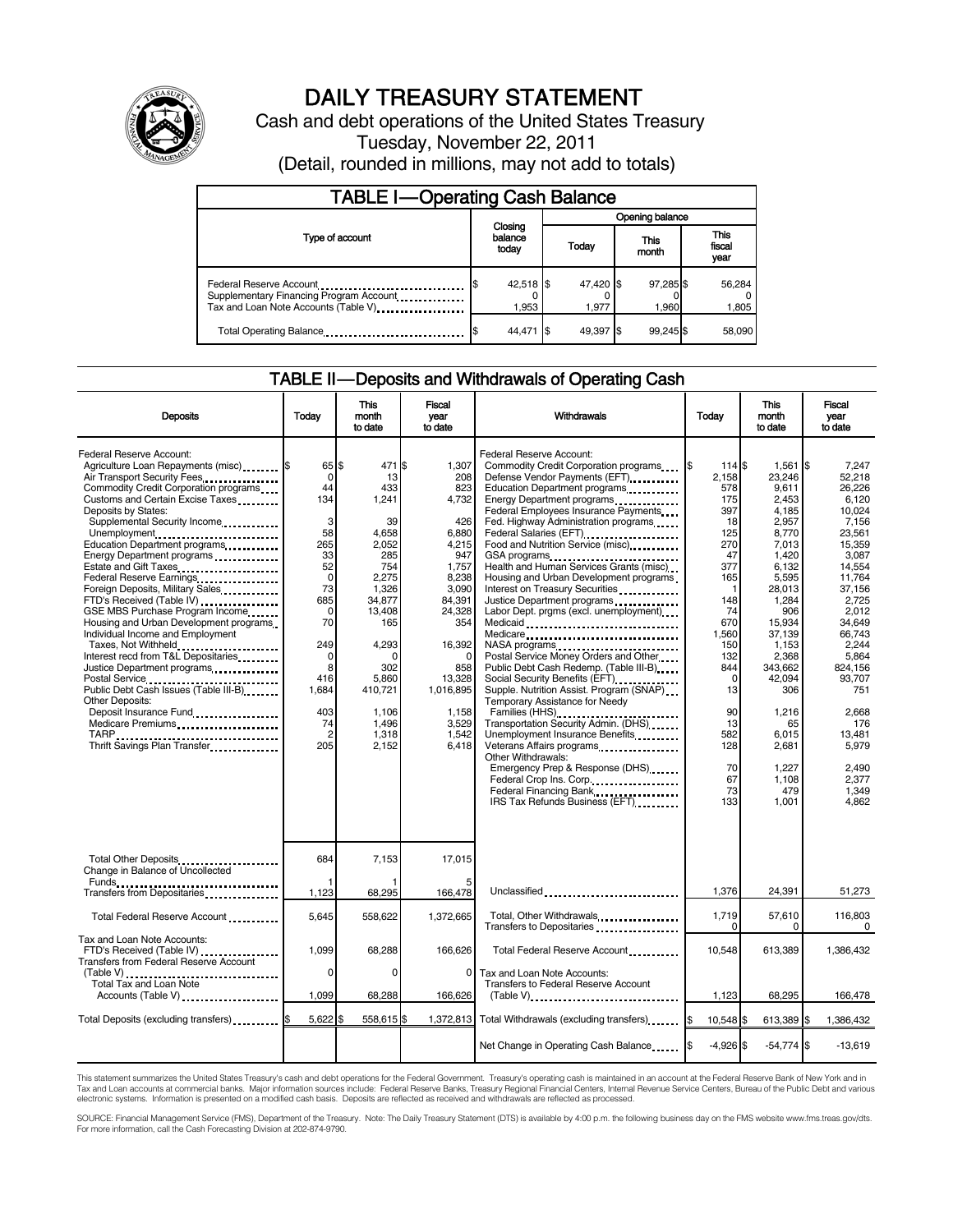

## DAILY TREASURY STATEMENT

Cash and debt operations of the United States Treasury Tuesday, November 22, 2011 (Detail, rounded in millions, may not add to totals)

| <b>TABLE I-Operating Cash Balance</b>                                                                      |                             |                    |  |                    |  |                    |  |                        |
|------------------------------------------------------------------------------------------------------------|-----------------------------|--------------------|--|--------------------|--|--------------------|--|------------------------|
|                                                                                                            |                             |                    |  | Opening balance    |  |                    |  |                        |
| Type of account                                                                                            | Closing<br>balance<br>today |                    |  | Today              |  | This<br>month      |  | This<br>fiscal<br>year |
| Federal Reserve Account<br>Supplementary Financing Program Account<br>Tax and Loan Note Accounts (Table V) |                             | 42,518 \$<br>1,953 |  | 47,420 \$<br>1.977 |  | 97,285 \$<br>1.960 |  | 56,284<br>1,805        |
| Total Operating Balance                                                                                    |                             | 44.471             |  | 49.397             |  | 99.245 \$          |  | 58,090                 |

#### TABLE II — Deposits and Withdrawals of Operating Cash

| <b>Deposits</b>                                                                                                                                                                                                                                                                                                                                                                                                                                                                                                                                                                                                                                                                                                                                | Todav                                                                                                                                                                           | This<br>month<br>to date                                                                                                                                                                            | Fiscal<br>vear<br>to date                                                                                                                                                                                  | Withdrawals                                                                                                                                                                                                                                                                                                                                                                                                                                                                                                                                                                                                                                                                                                                                                                                                                                                                                                                                                                                                                                                                                                                                                                                                                                          | Today                                                                                                                                                                                                                      | <b>This</b><br>month<br>to date                                                                                                                                                                                                                                     | Fiscal<br>vear<br>to date                                                                                                                                                                                                                                                   |
|------------------------------------------------------------------------------------------------------------------------------------------------------------------------------------------------------------------------------------------------------------------------------------------------------------------------------------------------------------------------------------------------------------------------------------------------------------------------------------------------------------------------------------------------------------------------------------------------------------------------------------------------------------------------------------------------------------------------------------------------|---------------------------------------------------------------------------------------------------------------------------------------------------------------------------------|-----------------------------------------------------------------------------------------------------------------------------------------------------------------------------------------------------|------------------------------------------------------------------------------------------------------------------------------------------------------------------------------------------------------------|------------------------------------------------------------------------------------------------------------------------------------------------------------------------------------------------------------------------------------------------------------------------------------------------------------------------------------------------------------------------------------------------------------------------------------------------------------------------------------------------------------------------------------------------------------------------------------------------------------------------------------------------------------------------------------------------------------------------------------------------------------------------------------------------------------------------------------------------------------------------------------------------------------------------------------------------------------------------------------------------------------------------------------------------------------------------------------------------------------------------------------------------------------------------------------------------------------------------------------------------------|----------------------------------------------------------------------------------------------------------------------------------------------------------------------------------------------------------------------------|---------------------------------------------------------------------------------------------------------------------------------------------------------------------------------------------------------------------------------------------------------------------|-----------------------------------------------------------------------------------------------------------------------------------------------------------------------------------------------------------------------------------------------------------------------------|
| Federal Reserve Account:<br>Agriculture Loan Repayments (misc) \$<br>Air Transport Security Fees<br>Commodity Credit Corporation programs<br>Customs and Certain Excise Taxes<br>Deposits by States:<br>Supplemental Security Income<br>Unemployment<br>Education Department programs<br>Energy Department programs<br>Estate and Gift Taxes<br>Federal Reserve Earnings<br>Foreign Deposits, Military Sales<br>FTD's Received (Table IV)<br>GSE MBS Purchase Program Income<br>Housing and Urban Development programs<br>Individual Income and Employment<br>Taxes, Not Withheld<br>Interest recd from T&L Depositaries<br>Justice Department programs<br><b>Other Deposits:</b><br>Medicare Premiums<br>TARP<br>Thrift Savings Plan Transfer | 65S<br>$\Omega$<br>44<br>134<br>3<br>58<br>265<br>33<br>52<br>$\mathbf 0$<br>73<br>685<br>$\Omega$<br>70<br>249<br>0<br>8<br>416<br>1,684<br>403<br>74<br>$\overline{2}$<br>205 | 471 \$<br>13<br>433<br>1,241<br>39<br>4.658<br>2.052<br>285<br>754<br>2,275<br>1,326<br>34.877<br>13,408<br>165<br>4,293<br>$\Omega$<br>302<br>5,860<br>410,721<br>1,106<br>1,496<br>1,318<br>2,152 | 1.307<br>208<br>823<br>4,732<br>426<br>6.880<br>4,215<br>947<br>1,757<br>8,238<br>3,090<br>84,391<br>24,328<br>354<br>16,392<br>$\Omega$<br>858<br>13,328<br>1,016,895<br>1,158<br>3,529<br>1,542<br>6,418 | Federal Reserve Account:<br>Commodity Credit Corporation programs<br>Defense Vendor Payments (EFT)<br>Education Department programs<br>Energy Department programs<br>Federal Employees Insurance Payments<br>Fed. Highway Administration programs<br>Federal Salaries (EFT)<br>Food and Nutrition Service (misc)<br>GSA programs<br>Health and Human Services Grants (misc)<br>Housing and Urban Development programs<br>Interest on Treasury Securities<br>Justice Department programs<br>Labor Dept. prgms (excl. unemployment)<br>Medicare<br>NASA programs<br>Postal Service Money Orders and Other<br>Public Debt Cash Redemp. (Table III-B)<br>Social Security Benefits (EFT)<br>Supple. Nutrition Assist. Program (SNAP)<br>Temporary Assistance for Needy<br>Families (HHS)<br>Transportation Security Admin. (DHS)<br>Unemployment Insurance Benefits<br>Veterans Affairs programs<br>Other Withdrawals:<br>Emergency Prep & Response (DHS)<br>Federal Crop Ins. Corp.<br>Federal Financing Bank<br>1991, 1991, 1992, 1993, 1994, 1995, 1996, 1997, 1998, 1999, 1999, 1999, 1999, 1999, 1999, 1999, 1999, 1999, 1999, 1999, 1999, 1999, 1999, 1999, 1999, 1999, 1999, 1999, 1999, 1999, 1999, 1999, 1999,<br>IRS Tax Refunds Business (EFT) | l\$<br>114 \$<br>2.158<br>578<br>175<br>397<br>18<br>125<br>270<br>47<br>377<br>165<br>$\mathbf{1}$<br>148<br>74<br>670<br>1,560<br>150<br>132<br>844<br>$\Omega$<br>13<br>90<br>13<br>582<br>128<br>70<br>67<br>73<br>133 | $1.561$ S<br>23.246<br>9,611<br>2,453<br>4,185<br>2,957<br>8,770<br>7.013<br>1.420<br>6,132<br>5,595<br>28,013<br>1,284<br>906<br>15,934<br>37.139<br>1,153<br>2,368<br>343,662<br>42.094<br>306<br>1,216<br>65<br>6,015<br>2,681<br>1,227<br>1.108<br>479<br>1,001 | 7.247<br>52.218<br>26.226<br>6,120<br>10.024<br>7,156<br>23.561<br>15.359<br>3.087<br>14,554<br>11,764<br>37,156<br>2.725<br>2.012<br>34.649<br>66.743<br>2.244<br>5,864<br>824.156<br>93.707<br>751<br>2,668<br>176<br>13,481<br>5,979<br>2,490<br>2.377<br>1,349<br>4,862 |
| Total Other Deposits<br>Change in Balance of Uncollected                                                                                                                                                                                                                                                                                                                                                                                                                                                                                                                                                                                                                                                                                       | 684                                                                                                                                                                             | 7,153                                                                                                                                                                                               | 17,015                                                                                                                                                                                                     |                                                                                                                                                                                                                                                                                                                                                                                                                                                                                                                                                                                                                                                                                                                                                                                                                                                                                                                                                                                                                                                                                                                                                                                                                                                      |                                                                                                                                                                                                                            |                                                                                                                                                                                                                                                                     |                                                                                                                                                                                                                                                                             |
| Transfers from Depositaries                                                                                                                                                                                                                                                                                                                                                                                                                                                                                                                                                                                                                                                                                                                    | 1,123                                                                                                                                                                           | 68,295                                                                                                                                                                                              | 166,478                                                                                                                                                                                                    | Unclassified                                                                                                                                                                                                                                                                                                                                                                                                                                                                                                                                                                                                                                                                                                                                                                                                                                                                                                                                                                                                                                                                                                                                                                                                                                         | 1,376                                                                                                                                                                                                                      | 24,391                                                                                                                                                                                                                                                              | 51,273                                                                                                                                                                                                                                                                      |
| Total Federal Reserve Account                                                                                                                                                                                                                                                                                                                                                                                                                                                                                                                                                                                                                                                                                                                  | 5,645                                                                                                                                                                           | 558.622                                                                                                                                                                                             | 1.372.665                                                                                                                                                                                                  | Total, Other Withdrawals<br>Transfers to Depositaries                                                                                                                                                                                                                                                                                                                                                                                                                                                                                                                                                                                                                                                                                                                                                                                                                                                                                                                                                                                                                                                                                                                                                                                                | 1,719<br>$\Omega$                                                                                                                                                                                                          | 57,610<br>0                                                                                                                                                                                                                                                         | 116,803<br>0                                                                                                                                                                                                                                                                |
| Tax and Loan Note Accounts:<br>FTD's Received (Table IV)<br>Transfers from Federal Reserve Account                                                                                                                                                                                                                                                                                                                                                                                                                                                                                                                                                                                                                                             | 1.099                                                                                                                                                                           | 68,288                                                                                                                                                                                              | 166.626                                                                                                                                                                                                    | Total Federal Reserve Account                                                                                                                                                                                                                                                                                                                                                                                                                                                                                                                                                                                                                                                                                                                                                                                                                                                                                                                                                                                                                                                                                                                                                                                                                        | 10.548                                                                                                                                                                                                                     | 613.389                                                                                                                                                                                                                                                             | 1.386.432                                                                                                                                                                                                                                                                   |
| (Table V)<br>Total Tax and Loan Note<br>Accounts (Table V)                                                                                                                                                                                                                                                                                                                                                                                                                                                                                                                                                                                                                                                                                     | 0<br>1,099                                                                                                                                                                      | 0<br>68,288                                                                                                                                                                                         | $\Omega$<br>166,626                                                                                                                                                                                        | Tax and Loan Note Accounts:<br>Transfers to Federal Reserve Account<br>$(Table V)$ ,                                                                                                                                                                                                                                                                                                                                                                                                                                                                                                                                                                                                                                                                                                                                                                                                                                                                                                                                                                                                                                                                                                                                                                 | 1,123                                                                                                                                                                                                                      | 68,295                                                                                                                                                                                                                                                              | 166,478                                                                                                                                                                                                                                                                     |
| Total Deposits (excluding transfers) <b>S</b>                                                                                                                                                                                                                                                                                                                                                                                                                                                                                                                                                                                                                                                                                                  | $5,622$ \$                                                                                                                                                                      | 558,615                                                                                                                                                                                             | 1,372,813                                                                                                                                                                                                  | Total Withdrawals (excluding transfers) [\$                                                                                                                                                                                                                                                                                                                                                                                                                                                                                                                                                                                                                                                                                                                                                                                                                                                                                                                                                                                                                                                                                                                                                                                                          | 10,548 \$                                                                                                                                                                                                                  | 613,389 \$                                                                                                                                                                                                                                                          | 1,386,432                                                                                                                                                                                                                                                                   |
|                                                                                                                                                                                                                                                                                                                                                                                                                                                                                                                                                                                                                                                                                                                                                |                                                                                                                                                                                 |                                                                                                                                                                                                     |                                                                                                                                                                                                            | Net Change in Operating Cash Balance                                                                                                                                                                                                                                                                                                                                                                                                                                                                                                                                                                                                                                                                                                                                                                                                                                                                                                                                                                                                                                                                                                                                                                                                                 | $-4,926$ \$                                                                                                                                                                                                                | $-54,774$ \$                                                                                                                                                                                                                                                        | $-13,619$                                                                                                                                                                                                                                                                   |

This statement summarizes the United States Treasury's cash and debt operations for the Federal Government. Treasury's operating cash is maintained in an account at the Federal Reserve Bank of New York and in<br>Tax and Loan

SOURCE: Financial Management Service (FMS), Department of the Treasury. Note: The Daily Treasury Statement (DTS) is available by 4:00 p.m. the following business day on the FMS website www.fms.treas.gov/dts.<br>For more infor